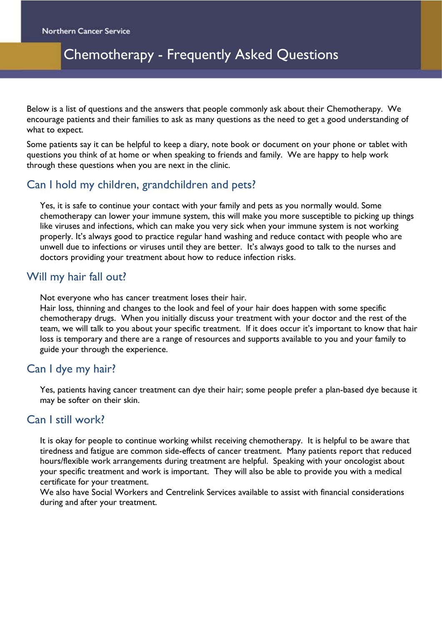# Chemotherapy - Frequently Asked Questions

Below is a list of questions and the answers that people commonly ask about their Chemotherapy. We encourage patients and their families to ask as many questions as the need to get a good understanding of what to expect.

Some patients say it can be helpful to keep a diary, note book or document on your phone or tablet with questions you think of at home or when speaking to friends and family. We are happy to help work through these questions when you are next in the clinic.

# Can I hold my children, grandchildren and pets?

Yes, it is safe to continue your contact with your family and pets as you normally would. Some chemotherapy can lower your immune system, this will make you more susceptible to picking up things like viruses and infections, which can make you very sick when your immune system is not working properly. It's always good to practice regular hand washing and reduce contact with people who are unwell due to infections or viruses until they are better. It's always good to talk to the nurses and doctors providing your treatment about how to reduce infection risks.

# Will my hair fall out?

Not everyone who has cancer treatment loses their hair.

Hair loss, thinning and changes to the look and feel of your hair does happen with some specific chemotherapy drugs. When you initially discuss your treatment with your doctor and the rest of the team, we will talk to you about your specific treatment. If it does occur it's important to know that hair loss is temporary and there are a range of resources and supports available to you and your family to guide your through the experience.

### Can I dye my hair?

Yes, patients having cancer treatment can dye their hair; some people prefer a plan-based dye because it may be softer on their skin.

# Can I still work?

It is okay for people to continue working whilst receiving chemotherapy. It is helpful to be aware that tiredness and fatigue are common side-effects of cancer treatment. Many patients report that reduced hours/flexible work arrangements during treatment are helpful. Speaking with your oncologist about your specific treatment and work is important. They will also be able to provide you with a medical certificate for your treatment.

We also have Social Workers and Centrelink Services available to assist with financial considerations during and after your treatment.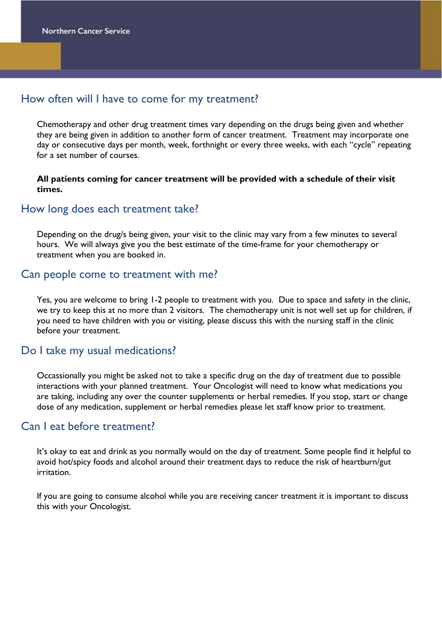# How often will I have to come for my treatment?

Chemotherapy and other drug treatment times vary depending on the drugs being given and whether they are being given in addition to another form of cancer treatment. Treatment may incorporate one day or consecutive days per month, week, forthnight or every three weeks, with each "cycle" repeating for a set number of courses.

#### **All patients coming for cancer treatment will be provided with a schedule of their visit times.**

#### How long does each treatment take?

Depending on the drug/s being given, your visit to the clinic may vary from a few minutes to several hours. We will always give you the best estimate of the time-frame for your chemotherapy or treatment when you are booked in.

#### Can people come to treatment with me?

Yes, you are welcome to bring 1-2 people to treatment with you. Due to space and safety in the clinic, we try to keep this at no more than 2 visitors. The chemotherapy unit is not well set up for children, if you need to have children with you or visiting, please discuss this with the nursing staff in the clinic before your treatment.

### Do I take my usual medications?

Occassionally you might be asked not to take a specific drug on the day of treatment due to possible interactions with your planned treatment. Your Oncologist will need to know what medications you are taking, including any over the counter supplements or herbal remedies. If you stop, start or change dose of any medication, supplement or herbal remedies please let staff know prior to treatment.

### Can I eat before treatment?

It's okay to eat and drink as you normally would on the day of treatment. Some people find it helpful to avoid hot/spicy foods and alcohol around their treatment days to reduce the risk of heartburn/gut irritation.

If you are going to consume alcohol while you are receiving cancer treatment it is important to discuss this with your Oncologist.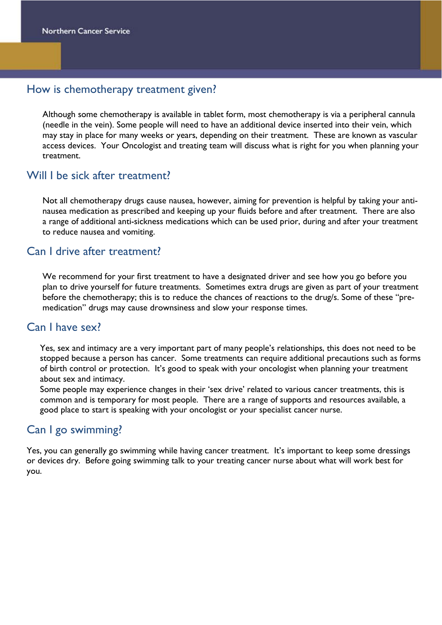## How is chemotherapy treatment given?

Although some chemotherapy is available in tablet form, most chemotherapy is via a peripheral cannula (needle in the vein). Some people will need to have an additional device inserted into their vein, which may stay in place for many weeks or years, depending on their treatment. These are known as vascular access devices. Your Oncologist and treating team will discuss what is right for you when planning your treatment.

## Will I be sick after treatment?

Not all chemotherapy drugs cause nausea, however, aiming for prevention is helpful by taking your antinausea medication as prescribed and keeping up your fluids before and after treatment. There are also a range of additional anti-sickness medications which can be used prior, during and after your treatment to reduce nausea and vomiting.

### Can I drive after treatment?

We recommend for your first treatment to have a designated driver and see how you go before you plan to drive yourself for future treatments. Sometimes extra drugs are given as part of your treatment before the chemotherapy; this is to reduce the chances of reactions to the drug/s. Some of these "premedication" drugs may cause drownsiness and slow your response times.

# Can I have sex?

Yes, sex and intimacy are a very important part of many people's relationships, this does not need to be stopped because a person has cancer. Some treatments can require additional precautions such as forms of birth control or protection. It's good to speak with your oncologist when planning your treatment about sex and intimacy.

Some people may experience changes in their 'sex drive' related to various cancer treatments, this is common and is temporary for most people. There are a range of supports and resources available, a good place to start is speaking with your oncologist or your specialist cancer nurse.

# Can I go swimming?

Yes, you can generally go swimming while having cancer treatment. It's important to keep some dressings or devices dry. Before going swimming talk to your treating cancer nurse about what will work best for you.